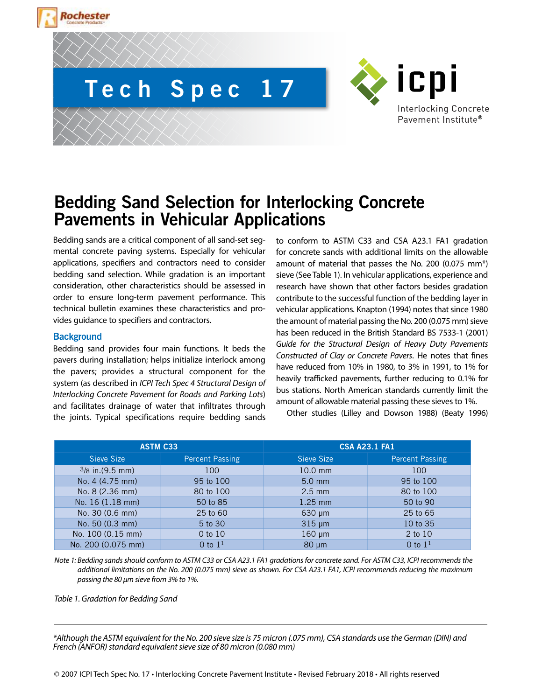

# **Bedding Sand Selection for Interlocking Concrete Pavements in Vehicular Applications**

Bedding sands are a critical component of all sand-set segmental concrete paving systems. Especially for vehicular applications, specifiers and contractors need to consider bedding sand selection. While gradation is an important consideration, other characteristics should be assessed in order to ensure long-term pavement performance. This technical bulletin examines these characteristics and provides guidance to specifiers and contractors.

### **Background**

Bedding sand provides four main functions. It beds the pavers during installation; helps initialize interlock among the pavers; provides a structural component for the system (as described in *ICPI Tech Spec 4 Structural Design of Interlocking Concrete Pavement for Roads and Parking Lots*) and facilitates drainage of water that infiltrates through the joints. Typical specifications require bedding sands to conform to ASTM C33 and CSA A23.1 FA1 gradation for concrete sands with additional limits on the allowable amount of material that passes the No. 200 (0.075 mm\*) sieve (See Table 1). In vehicular applications, experience and research have shown that other factors besides gradation contribute to the successful function of the bedding layer in vehicular applications. Knapton (1994) notes that since 1980 the amount of material passing the No. 200 (0.075 mm) sieve has been reduced in the British Standard BS 7533-1 (2001) *Guide for the Structural Design of Heavy Duty Pavements Constructed of Clay or Concrete Pavers*. He notes that fines have reduced from 10% in 1980, to 3% in 1991, to 1% for heavily trafficked pavements, further reducing to 0.1% for bus stations. North American standards currently limit the amount of allowable material passing these sieves to 1%.

Other studies (Lilley and Dowson 1988) (Beaty 1996)

|                    |                        | <b>CSA A23.1 FA1</b> |                 |  |
|--------------------|------------------------|----------------------|-----------------|--|
| <b>ASTM C33</b>    |                        |                      |                 |  |
| Sieve Size         | <b>Percent Passing</b> | Sieve Size           | Percent Passing |  |
| $3/8$ in. (9.5 mm) | 100                    | $10.0$ mm            | 100             |  |
| No. 4 (4.75 mm)    | 95 to 100              | $5.0$ mm             | 95 to 100       |  |
| No. 8 (2.36 mm)    | 80 to 100              | $2.5$ mm             | 80 to 100       |  |
| No. 16 (1.18 mm)   | 50 to 85               | $1.25$ mm            | 50 to 90        |  |
| No. 30 (0.6 mm)    | 25 to 60               | $630 \mu m$          | 25 to 65        |  |
| No. 50 (0.3 mm)    | 5 to 30                | $315 \mu m$          | 10 to 35        |  |
| No. 100 (0.15 mm)  | 0 to 10                | $160 \mu m$          | 2 to 10         |  |
| No. 200 (0.075 mm) | $0$ to $11$            | $80 \mu m$           | $0$ to $11$     |  |

*Note 1: Bedding sands should conform to ASTM C33 or CSA A23.1 FA1 gradations for concrete sand. For ASTM C33, ICPI recommends the additional limitations on the No. 200 (0.075 mm) sieve as shown. For CSA A23.1 FA1, ICPI recommends reducing the maximum passing the 80 μm sieve from 3% to 1%.*

*Table 1. Gradation for Bedding Sand* 

*\*Although the ASTM equivalent for the No. 200 sieve size is 75 micron (.075 mm), CSA standards use the German (DIN) and French (ANFOR) standard equivalent sieve size of 80 micron (0.080 mm)*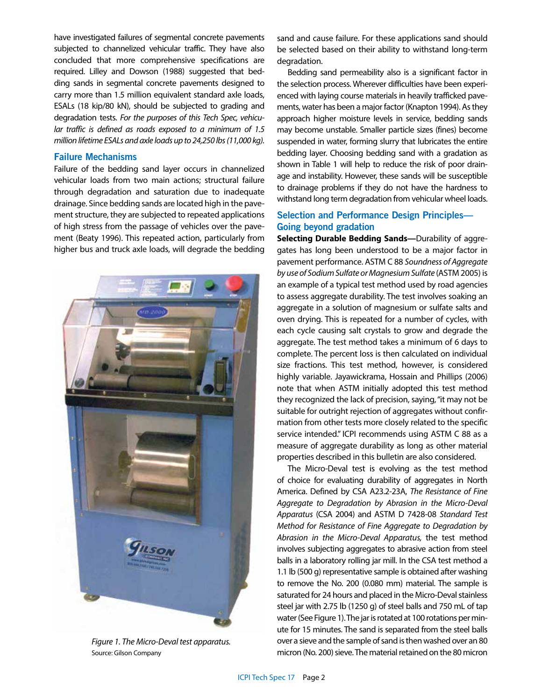have investigated failures of segmental concrete pavements subjected to channelized vehicular traffic. They have also concluded that more comprehensive specifications are required. Lilley and Dowson (1988) suggested that bedding sands in segmental concrete pavements designed to carry more than 1.5 million equivalent standard axle loads, ESALs (18 kip/80 kN), should be subjected to grading and degradation tests. *For the purposes of this Tech Spec, vehicular traffic is defined as roads exposed to a minimum of 1.5 million lifetime ESALs and axle loads up to 24,250 lbs (11,000 kg).* 

#### **Failure Mechanisms**

Failure of the bedding sand layer occurs in channelized vehicular loads from two main actions; structural failure through degradation and saturation due to inadequate drainage. Since bedding sands are located high in the pavement structure, they are subjected to repeated applications of high stress from the passage of vehicles over the pavement (Beaty 1996). This repeated action, particularly from higher bus and truck axle loads, will degrade the bedding



*Figure 1. The Micro-Deval test apparatus.*  Source: Gilson Company

sand and cause failure. For these applications sand should be selected based on their ability to withstand long-term degradation.

Bedding sand permeability also is a significant factor in the selection process. Wherever difficulties have been experienced with laying course materials in heavily trafficked pavements, water has been a major factor (Knapton 1994). As they approach higher moisture levels in service, bedding sands may become unstable. Smaller particle sizes (fines) become suspended in water, forming slurry that lubricates the entire bedding layer. Choosing bedding sand with a gradation as shown in Table 1 will help to reduce the risk of poor drainage and instability. However, these sands will be susceptible to drainage problems if they do not have the hardness to withstand long term degradation from vehicular wheel loads.

## **Selection and Performance Design Principles— Going beyond gradation**

**Selecting Durable Bedding Sands—**Durability of aggregates has long been understood to be a major factor in pavement performance. ASTM C 88 *Soundness of Aggregate by use of Sodium Sulfate or Magnesium Sulfate* (ASTM 2005) is an example of a typical test method used by road agencies to assess aggregate durability. The test involves soaking an aggregate in a solution of magnesium or sulfate salts and oven drying. This is repeated for a number of cycles, with each cycle causing salt crystals to grow and degrade the aggregate. The test method takes a minimum of 6 days to complete. The percent loss is then calculated on individual size fractions. This test method, however, is considered highly variable. Jayawickrama, Hossain and Phillips (2006) note that when ASTM initially adopted this test method they recognized the lack of precision, saying, "it may not be suitable for outright rejection of aggregates without confirmation from other tests more closely related to the specific service intended." ICPI recommends using ASTM C 88 as a measure of aggregate durability as long as other material properties described in this bulletin are also considered.

The Micro-Deval test is evolving as the test method of choice for evaluating durability of aggregates in North America. Defined by CSA A23.2-23A, *The Resistance of Fine Aggregate to Degradation by Abrasion in the Micro-Deval Apparatus* (CSA 2004) and ASTM D 7428-08 *Standard Test Method for Resistance of Fine Aggregate to Degradation by Abrasion in the Micro-Deval Apparatus,* the test method involves subjecting aggregates to abrasive action from steel balls in a laboratory rolling jar mill. In the CSA test method a 1.1 lb (500 g) representative sample is obtained after washing to remove the No. 200 (0.080 mm) material. The sample is saturated for 24 hours and placed in the Micro-Deval stainless steel jar with 2.75 lb (1250 g) of steel balls and 750 mL of tap water (See Figure 1). The jar is rotated at 100 rotations per minute for 15 minutes. The sand is separated from the steel balls over a sieve and the sample of sand is then washed over an 80 micron (No. 200) sieve. The material retained on the 80 micron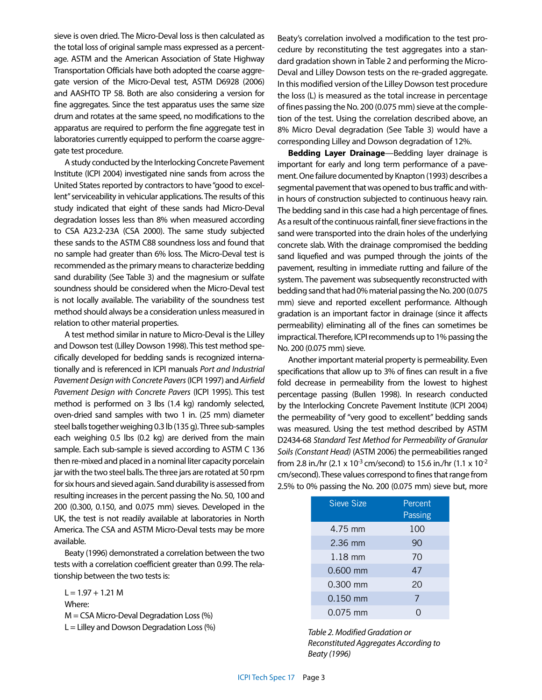sieve is oven dried. The Micro-Deval loss is then calculated as the total loss of original sample mass expressed as a percentage. ASTM and the American Association of State Highway Transportation Officials have both adopted the coarse aggregate version of the Micro-Deval test, ASTM D6928 (2006) and AASHTO TP 58. Both are also considering a version for fine aggregates. Since the test apparatus uses the same size drum and rotates at the same speed, no modifications to the apparatus are required to perform the fine aggregate test in laboratories currently equipped to perform the coarse aggregate test procedure.

A study conducted by the Interlocking Concrete Pavement Institute (ICPI 2004) investigated nine sands from across the United States reported by contractors to have "good to excellent" serviceability in vehicular applications. The results of this study indicated that eight of these sands had Micro-Deval degradation losses less than 8% when measured according to CSA A23.2-23A (CSA 2000). The same study subjected these sands to the ASTM C88 soundness loss and found that no sample had greater than 6% loss. The Micro-Deval test is recommended as the primary means to characterize bedding sand durability (See Table 3) and the magnesium or sulfate soundness should be considered when the Micro-Deval test is not locally available. The variability of the soundness test method should always be a consideration unless measured in relation to other material properties.

A test method similar in nature to Micro-Deval is the Lilley and Dowson test (Lilley Dowson 1998). This test method specifically developed for bedding sands is recognized internationally and is referenced in ICPI manuals *Port and Industrial Pavement Design with Concrete Pavers* (ICPI 1997) and *Airfield Pavement Design with Concrete Pavers* (ICPI 1995). This test method is performed on 3 lbs (1.4 kg) randomly selected, oven-dried sand samples with two 1 in. (25 mm) diameter steel balls together weighing 0.3 lb (135 g). Three sub-samples each weighing 0.5 lbs (0.2 kg) are derived from the main sample. Each sub-sample is sieved according to ASTM C 136 then re-mixed and placed in a nominal liter capacity porcelain jar with the two steel balls. The three jars are rotated at 50 rpm for six hours and sieved again. Sand durability is assessed from resulting increases in the percent passing the No. 50, 100 and 200 (0.300, 0.150, and 0.075 mm) sieves. Developed in the UK, the test is not readily available at laboratories in North America. The CSA and ASTM Micro-Deval tests may be more available.

Beaty (1996) demonstrated a correlation between the two tests with a correlation coefficient greater than 0.99. The relationship between the two tests is:

 $L = 1.97 + 1.21 M$ Where: M = CSA Micro-Deval Degradation Loss (%)  $L =$  Lilley and Dowson Degradation Loss  $%$  Beaty's correlation involved a modification to the test procedure by reconstituting the test aggregates into a standard gradation shown in Table 2 and performing the Micro-Deval and Lilley Dowson tests on the re-graded aggregate. In this modified version of the Lilley Dowson test procedure the loss (L) is measured as the total increase in percentage of fines passing the No. 200 (0.075 mm) sieve at the completion of the test. Using the correlation described above, an 8% Micro Deval degradation (See Table 3) would have a corresponding Lilley and Dowson degradation of 12%.

**Bedding Layer Drainage**—Bedding layer drainage is important for early and long term performance of a pavement. One failure documented by Knapton (1993) describes a segmental pavement that was opened to bus traffic and within hours of construction subjected to continuous heavy rain. The bedding sand in this case had a high percentage of fines. As a result of the continuous rainfall, finer sieve fractions in the sand were transported into the drain holes of the underlying concrete slab. With the drainage compromised the bedding sand liquefied and was pumped through the joints of the pavement, resulting in immediate rutting and failure of the system. The pavement was subsequently reconstructed with bedding sand that had 0% material passing the No. 200 (0.075 mm) sieve and reported excellent performance. Although gradation is an important factor in drainage (since it affects permeability) eliminating all of the fines can sometimes be impractical. Therefore, ICPI recommends up to 1% passing the No. 200 (0.075 mm) sieve.

Another important material property is permeability. Even specifications that allow up to 3% of fines can result in a five fold decrease in permeability from the lowest to highest percentage passing (Bullen 1998). In research conducted by the Interlocking Concrete Pavement Institute (ICPI 2004) the permeability of "very good to excellent" bedding sands was measured. Using the test method described by ASTM D2434-68 *Standard Test Method for Permeability of Granular Soils (Constant Head)* (ASTM 2006) the permeabilities ranged from 2.8 in./hr (2.1 x 10<sup>-3</sup> cm/second) to 15.6 in./hr (1.1 x 10<sup>-2</sup> cm/second). These values correspond to fines that range from 2.5% to 0% passing the No. 200 (0.075 mm) sieve but, more

| <b>Sieve Size</b> | Percent<br>Passing |
|-------------------|--------------------|
| 4.75 mm           | 100                |
| 2.36 mm           | 90                 |
| $1.18$ mm         | 70                 |
| 0.600 mm          | 47                 |
| 0.300 mm          | 20                 |
| $0.150$ mm        | 7                  |
| 0.075 mm          |                    |

*Table 2. Modified Gradation or Reconstituted Aggregates According to Beaty (1996)*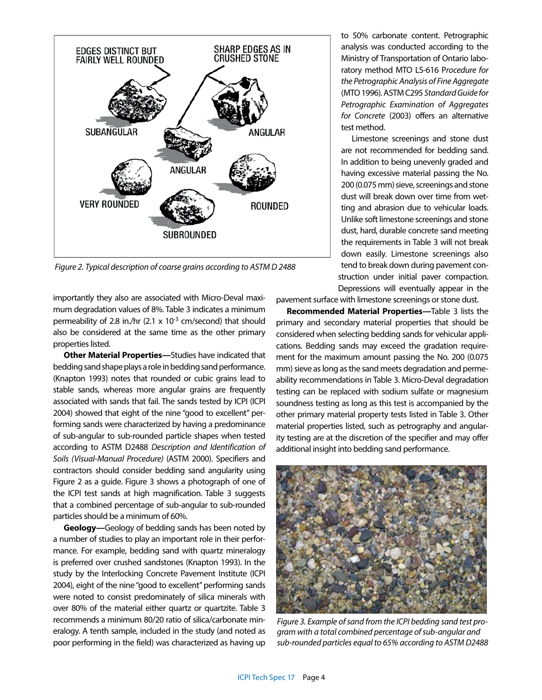

*Figure 2. Typical description of coarse grains according to ASTM D 2488* 

importantly they also are associated with Micro-Deval maximum degradation values of 8%. Table 3 indicates a minimum permeability of 2.8 in./hr  $(2.1 \times 10^{-3} \text{ cm/second)}$  that should also be considered at the same time as the other primary properties listed.

**Other Material Properties—**Studies have indicated that bedding sand shape plays a role in bedding sand performance. (Knapton 1993) notes that rounded or cubic grains lead to stable sands, whereas more angular grains are frequently associated with sands that fail. The sands tested by ICPI (ICPI 2004) showed that eight of the nine "good to excellent" performing sands were characterized by having a predominance of sub-angular to sub-rounded particle shapes when tested according to ASTM D2488 *Description and Identification of Soils (Visual-Manual Procedure)* (ASTM 2000). Specifiers and contractors should consider bedding sand angularity using Figure 2 as a guide. Figure 3 shows a photograph of one of the ICPI test sands at high magnification. Table 3 suggests that a combined percentage of sub-angular to sub-rounded particles should be a minimum of 60%.

**Geology—**Geology of bedding sands has been noted by a number of studies to play an important role in their performance. For example, bedding sand with quartz mineralogy is preferred over crushed sandstones (Knapton 1993). In the study by the Interlocking Concrete Pavement Institute (ICPI 2004), eight of the nine "good to excellent" performing sands were noted to consist predominately of silica minerals with over 80% of the material either quartz or quartzite. Table 3 recommends a minimum 80/20 ratio of silica/carbonate mineralogy. A tenth sample, included in the study (and noted as poor performing in the field) was characterized as having up to 50% carbonate content. Petrographic analysis was conducted according to the Ministry of Transportation of Ontario laboratory method MTO LS-616 P*rocedure for the Petrographic Analysis of Fine Aggregate*  (MTO 1996). ASTM C295 *Standard Guide for Petrographic Examination of Aggregates for Concrete* (2003) offers an alternative test method.

Limestone screenings and stone dust are not recommended for bedding sand. In addition to being unevenly graded and having excessive material passing the No. 200 (0.075 mm) sieve, screenings and stone dust will break down over time from wetting and abrasion due to vehicular loads. Unlike soft limestone screenings and stone dust, hard, durable concrete sand meeting the requirements in Table 3 will not break down easily. Limestone screenings also tend to break down during pavement construction under initial paver compaction. Depressions will eventually appear in the

pavement surface with limestone screenings or stone dust.

**Recommended Material Properties—**Table 3 lists the primary and secondary material properties that should be considered when selecting bedding sands for vehicular applications. Bedding sands may exceed the gradation requirement for the maximum amount passing the No. 200 (0.075 mm) sieve as long as the sand meets degradation and permeability recommendations in Table 3. Micro-Deval degradation testing can be replaced with sodium sulfate or magnesium soundness testing as long as this test is accompanied by the other primary material property tests listed in Table 3. Other material properties listed, such as petrography and angularity testing are at the discretion of the specifier and may offer additional insight into bedding sand performance.



*Figure 3. Example of sand from the ICPI bedding sand test program with a total combined percentage of sub-angular and sub-rounded particles equal to 65% according to ASTM D2488*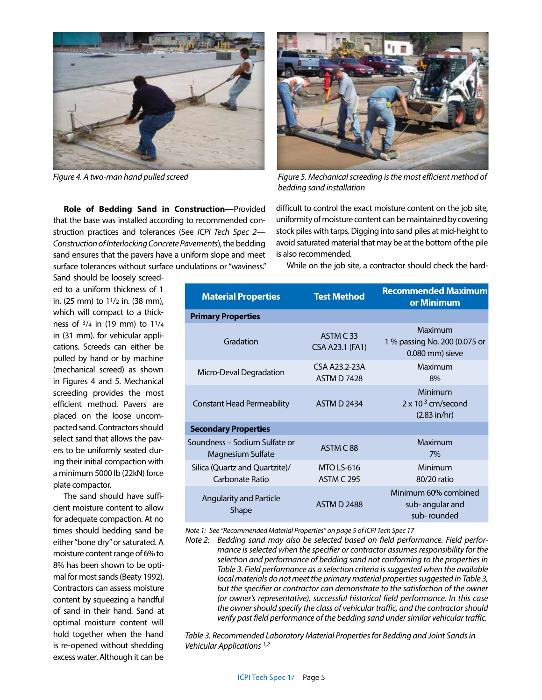

**Role of Bedding Sand in Construction—**Provided that the base was installed according to recommended construction practices and tolerances (See *ICPI Tech Spec 2— Construction of Interlocking Concrete Pavements*), the bedding sand ensures that the pavers have a uniform slope and meet surface tolerances without surface undulations or "waviness."



*Figure 4. A two-man hand pulled screed Figure 5. Mechanical screeding is the most efficient method of bedding sand installation*

difficult to control the exact moisture content on the job site, uniformity of moisture content can be maintained by covering stock piles with tarps. Digging into sand piles at mid-height to avoid saturated material that may be at the bottom of the pile is also recommended.

While on the job site, a contractor should check the hard-

Sand should be loosely screeded to a uniform thickness of 1 in. (25 mm) to 11/2 in. (38 mm), which will compact to a thickness of 3/4 in (19 mm) to 11/4 in (31 mm). for vehicular applications. Screeds can either be pulled by hand or by machine (mechanical screed) as shown in Figures 4 and 5. Mechanical screeding provides the most efficient method. Pavers are placed on the loose uncompacted sand. Contractors should select sand that allows the pavers to be uniformly seated during their initial compaction with a minimum 5000 lb (22kN) force plate compactor.

The sand should have sufficient moisture content to allow for adequate compaction. At no times should bedding sand be either "bone dry" or saturated. A moisture content range of 6% to 8% has been shown to be optimal for most sands (Beaty 1992). Contractors can assess moisture content by squeezing a handful of sand in their hand. Sand at optimal moisture content will hold together when the hand is re-opened without shedding excess water. Although it can be

| <b>Material Properties</b>                         | <b>Test Method</b>                     | <b>Recommended Maximum</b><br>or Minimum                          |  |  |  |  |
|----------------------------------------------------|----------------------------------------|-------------------------------------------------------------------|--|--|--|--|
| <b>Primary Properties</b>                          |                                        |                                                                   |  |  |  |  |
| Gradation                                          | ASTM C33<br><b>CSA A23.1 (FA1)</b>     | Maximum<br>1 % passing No. 200 (0.075 or<br>0.080 mm) sieve       |  |  |  |  |
| Micro-Deval Degradation                            | CSA A23.2-23A<br><b>ASTM D 7428</b>    | Maximum<br>8%                                                     |  |  |  |  |
| <b>Constant Head Permeability</b>                  | <b>ASTM D 2434</b>                     | Minimum<br>$2 \times 10^{-3}$ cm/second<br>$(2.83 \text{ in/hr})$ |  |  |  |  |
| <b>Secondary Properties</b>                        |                                        |                                                                   |  |  |  |  |
| Soundness – Sodium Sulfate or<br>Magnesium Sulfate | ASTM C88                               | Maximum<br>7%                                                     |  |  |  |  |
| Silica (Quartz and Quartzite)/<br>Carbonate Ratio  | <b>MTO LS-616</b><br><b>ASTM C 295</b> | Minimum<br>80/20 ratio                                            |  |  |  |  |
| <b>Angularity and Particle</b><br>Shape            | <b>ASTM D 2488</b>                     | Minimum 60% combined<br>sub-angular and<br>sub-rounded            |  |  |  |  |

*Note 1: See "Recommended Material Properties" on page 5 of ICPI Tech Spec 17* 

*Note 2: Bedding sand may also be selected based on field performance. Field performance is selected when the specifier or contractor assumes responsibility for the selection and performance of bedding sand not conforming to the properties in Table 3. Field performance as a selection criteria is suggested when the available local materials do not meet the primary material properties suggested in Table 3, but the specifier or contractor can demonstrate to the satisfaction of the owner (or owner's representative), successful historical field performance. In this case the owner should specify the class of vehicular traffic, and the contractor should verify past field performance of the bedding sand under similar vehicular traffic.* 

*Table 3. Recommended Laboratory Material Properties for Bedding and Joint Sands in Vehicular Applications 1,2*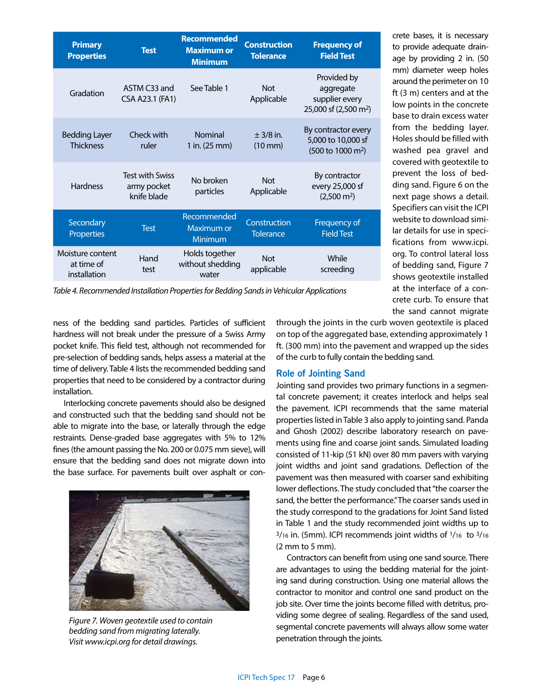| <b>Primary</b><br><b>Properties</b>            | <b>Test</b>                                          | <b>Recommended</b><br><b>Maximum or</b><br><b>Minimum</b> | <b>Construction</b><br><b>Tolerance</b> | <b>Frequency of</b><br><b>Field Test</b>                                          |
|------------------------------------------------|------------------------------------------------------|-----------------------------------------------------------|-----------------------------------------|-----------------------------------------------------------------------------------|
| Gradation                                      | ASTM C33 and<br>CSA A23.1 (FA1)                      | See Table 1                                               | <b>Not</b><br>Applicable                | Provided by<br>aggregate<br>supplier every<br>25,000 sf (2,500 m <sup>2</sup> )   |
| <b>Bedding Layer</b><br><b>Thickness</b>       | Check with<br>ruler                                  | <b>Nominal</b><br>1 in. (25 mm)                           | $+3/8$ in.<br>$(10$ mm $)$              | By contractor every<br>5,000 to 10,000 sf<br>$(500 \text{ to } 1000 \text{ m}^2)$ |
| <b>Hardness</b>                                | <b>Test with Swiss</b><br>army pocket<br>knife blade | No broken<br>particles                                    | <b>Not</b><br>Applicable                | By contractor<br>every 25,000 sf<br>$(2,500 \text{ m}^2)$                         |
| Secondary<br>Properties                        | <b>Test</b>                                          | Recommended<br>Maximum or<br>Minimum                      | Construction<br><b>Tolerance</b>        | Frequency of<br><b>Field Test</b>                                                 |
| Moisture content<br>at time of<br>installation | Hand<br>test                                         | Holds together<br>without shedding<br>water               | <b>Not</b><br>applicable                | While<br>screeding                                                                |

*Table 4. Recommended Installation Properties for Bedding Sands in Vehicular Applications*

ness of the bedding sand particles. Particles of sufficient hardness will not break under the pressure of a Swiss Army pocket knife. This field test, although not recommended for pre-selection of bedding sands, helps assess a material at the time of delivery. Table 4 lists the recommended bedding sand properties that need to be considered by a contractor during installation.

Interlocking concrete pavements should also be designed and constructed such that the bedding sand should not be able to migrate into the base, or laterally through the edge restraints. Dense-graded base aggregates with 5% to 12% fines (the amount passing the No. 200 or 0.075 mm sieve), will ensure that the bedding sand does not migrate down into the base surface. For pavements built over asphalt or con-



*Figure 7. Woven geotextile used to contain bedding sand from migrating laterally. Visit www.icpi.org for detail drawings.*

through the joints in the curb woven geotextile is placed on top of the aggregated base, extending approximately 1 ft. (300 mm) into the pavement and wrapped up the sides of the curb to fully contain the bedding sand.

## **Role of Jointing Sand**

Jointing sand provides two primary functions in a segmental concrete pavement; it creates interlock and helps seal the pavement. ICPI recommends that the same material properties listed in Table 3 also apply to jointing sand. Panda and Ghosh (2002) describe laboratory research on pavements using fine and coarse joint sands. Simulated loading consisted of 11-kip (51 kN) over 80 mm pavers with varying joint widths and joint sand gradations. Deflection of the pavement was then measured with coarser sand exhibiting lower deflections. The study concluded that "the coarser the sand, the better the performance." The coarser sands used in the study correspond to the gradations for Joint Sand listed in Table 1 and the study recommended joint widths up to 3/16 in. (5mm). ICPI recommends joint widths of 1/16 to 3/16 (2 mm to 5 mm).

Contractors can benefit from using one sand source. There are advantages to using the bedding material for the jointing sand during construction. Using one material allows the contractor to monitor and control one sand product on the job site. Over time the joints become filled with detritus, providing some degree of sealing. Regardless of the sand used, segmental concrete pavements will always allow some water penetration through the joints.

to provide adequate drainage by providing 2 in. (50 mm) diameter weep holes around the perimeter on 10 ft (3 m) centers and at the low points in the concrete base to drain excess water from the bedding layer. Holes should be filled with washed pea gravel and covered with geotextile to prevent the loss of bedding sand. Figure 6 on the next page shows a detail. Specifiers can visit the ICPI website to download similar details for use in specifications from www.icpi. org. To control lateral loss of bedding sand, Figure 7 shows geotextile installed at the interface of a concrete curb. To ensure that the sand cannot migrate

crete bases, it is necessary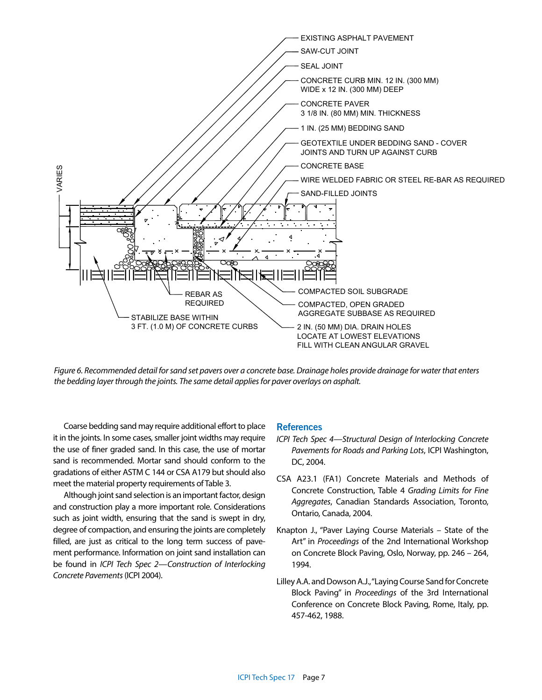

*Figure 6. Recommended detail for sand set pavers over a concrete base. Drainage holes provide drainage for water that enters the bedding layer through the joints. The same detail applies for paver overlays on asphalt.*

Coarse bedding sand may require additional effort to place it in the joints. In some cases, smaller joint widths may require the use of finer graded sand. In this case, the use of mortar sand is recommended. Mortar sand should conform to the gradations of either ASTM C 144 or CSA A179 but should also meet the material property requirements of Table 3.

Although joint sand selection is an important factor, design and construction play a more important role. Considerations such as joint width, ensuring that the sand is swept in dry, degree of compaction, and ensuring the joints are completely filled, are just as critical to the long term success of pavement performance. Information on joint sand installation can be found in *ICPI Tech Spec 2—Construction of Interlocking Concrete Pavements* (ICPI 2004).

#### **References**

- *ICPI Tech Spec 4—Structural Design of Interlocking Concrete Pavements for Roads and Parking Lots*, ICPI Washington, DC, 2004.
- CSA A23.1 (FA1) Concrete Materials and Methods of Concrete Construction, Table 4 *Grading Limits for Fine Aggregates*, Canadian Standards Association, Toronto, Ontario, Canada, 2004.
- Knapton J., "Paver Laying Course Materials State of the Art" in *Proceedings* of the 2nd International Workshop on Concrete Block Paving, Oslo, Norway, pp. 246 – 264, 1994.
- Lilley A.A. and Dowson A.J., "Laying Course Sand for Concrete Block Paving" in *Proceedings* of the 3rd International Conference on Concrete Block Paving, Rome, Italy, pp. 457-462, 1988.